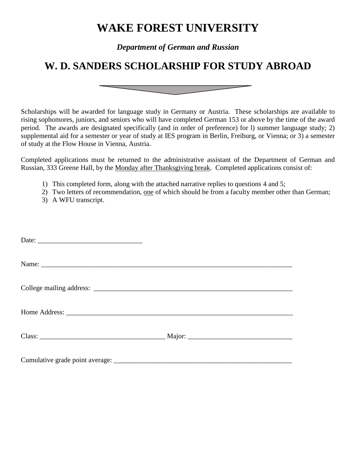## **WAKE FOREST UNIVERSITY**

*Department of German and Russian*

## **W. D. SANDERS SCHOLARSHIP FOR STUDY ABROAD**

Scholarships will be awarded for language study in Germany or Austria. These scholarships are available to rising sophomores, juniors, and seniors who will have completed German 153 or above by the time of the award period. The awards are designated specifically (and in order of preference) for l) summer language study; 2) supplemental aid for a semester or year of study at IES program in Berlin, Freiburg, or Vienna; or 3) a semester of study at the Flow House in Vienna, Austria.

Completed applications must be returned to the administrative assistant of the Department of German and Russian, 333 Greene Hall, by the Monday after Thanksgiving break. Completed applications consist of:

- 1) This completed form, along with the attached narrative replies to questions 4 and 5;
- 2) Two letters of recommendation, one of which should be from a faculty member other than German;
- 3) A WFU transcript.